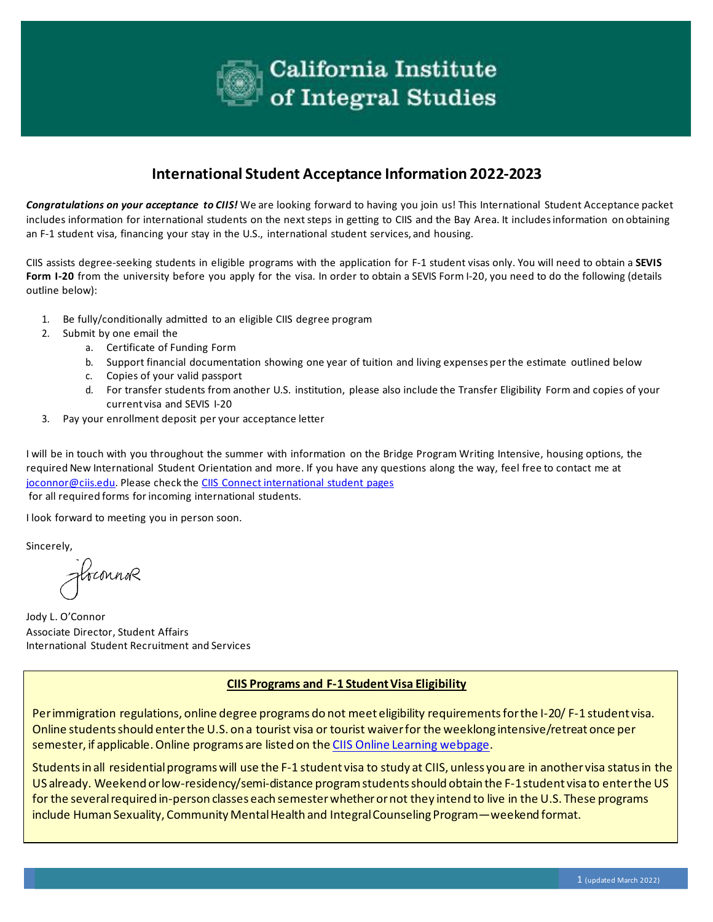

## **International Student Acceptance Information 2022-2023**

*Congratulations on your acceptance to CIIS!* We are looking forward to having you join us! This International Student Acceptance packet includes information for international students on the next steps in getting to CIIS and the Bay Area. It includes information on obtaining an F-1 student visa, financing your stay in the U.S., international student services, and housing.

CIIS assists degree-seeking students in eligible programs with the application for F-1 student visas only. You will need to obtain a **SEVIS Form I-20** from the university before you apply for the visa. In order to obtain a SEVIS Form I-20, you need to do the following (details outline below):

- 1. Be fully/conditionally admitted to an eligible CIIS degree program
- 2. Submit by one email the
	- a. Certificate of Funding Form
	- b. Support financial documentation showing one year of tuition and living expenses per the estimate outlined below
	- c. Copies of your valid passport
	- d. For transfer students from another U.S. institution, please also include the Transfer Eligibility Form and copies of your current visa and SEVIS I-20
- 3. Pay your enrollment deposit per your acceptance letter

I will be in touch with you throughout the summer with information on the Bridge Program Writing Intensive, housing options, the required New International Student Orientation and more. If you have any questions along the way, feel free to contact me at [joconnor@ciis.edu. P](mailto:joconnor@ciis.edu)lease check the [CIIS Connect international student pages](https://ciisedu.sharepoint.com/sites/student-affairs/SitePages/International-Students-Office.aspx) for all required forms for incoming international students.

I look forward to meeting you in person soon.

Sincerely,

fbconnor

Jody L. O'Connor Associate Director, Student Affairs International Student Recruitment and Services

### **CIIS Programs and F-1 Student Visa Eligibility**

Per immigration regulations, online degree programs do not meet eligibility requirements for the I-20/ F-1 student visa. Online students should enter the U.S. on a tourist visa or tourist waiver for the weeklong intensive/retreat once per semester, if applicable. Online programs are listed on the CIIS [Online Learning webpage.](https://www.ciis.edu/academics/ciis-online-learning)

Students in all residential programs will use the F-1 student visa to study at CIIS, unless you are in another visa status in the US already. Weekend or low-residency/semi-distance programstudents should obtain the F-1 student visa to enter the US for the several required in-person classes each semesterwhether or not they intend to live in the U.S. These programs include Human Sexuality, Community Mental Health and Integral Counseling Program—weekend format.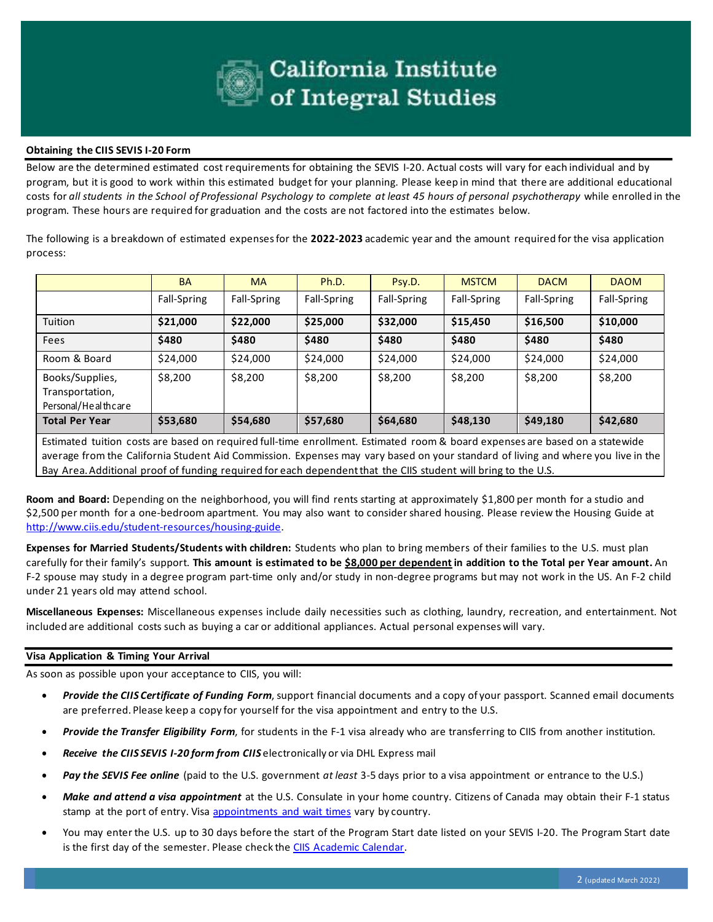

#### **Obtaining the CIIS SEVIS I-20 Form**

Below are the determined estimated cost requirements for obtaining the SEVIS I-20. Actual costs will vary for each individual and by program, but it is good to work within this estimated budget for your planning. Please keep in mind that there are additional educational costs for *all students in the School of Professional Psychology to complete at least 45 hours of personal psychotherapy* while enrolled in the program. These hours are required for graduation and the costs are not factored into the estimates below.

The following is a breakdown of estimated expenses for the **2022-2023** academic year and the amount required for the visa application process:

|                                                           | <b>BA</b>   | <b>MA</b>   | Ph.D.       | Psy.D.      | <b>MSTCM</b> | <b>DACM</b> | <b>DAOM</b> |
|-----------------------------------------------------------|-------------|-------------|-------------|-------------|--------------|-------------|-------------|
|                                                           | Fall-Spring | Fall-Spring | Fall-Spring | Fall-Spring | Fall-Spring  | Fall-Spring | Fall-Spring |
| Tuition                                                   | \$21,000    | \$22,000    | \$25,000    | \$32,000    | \$15,450     | \$16,500    | \$10,000    |
| Fees                                                      | \$480       | \$480       | \$480       | \$480       | \$480        | \$480       | \$480       |
| Room & Board                                              | \$24,000    | \$24,000    | \$24,000    | \$24,000    | \$24,000     | \$24,000    | \$24,000    |
| Books/Supplies,<br>Transportation,<br>Personal/Healthcare | \$8,200     | \$8,200     | \$8,200     | \$8,200     | \$8,200      | \$8,200     | \$8,200     |
| <b>Total Per Year</b>                                     | \$53,680    | \$54,680    | \$57,680    | \$64,680    | \$48,130     | \$49,180    | \$42,680    |

Estimated tuition costs are based on required full-time enrollment. Estimated room & board expenses are based on a statewide average from the California Student Aid Commission. Expenses may vary based on your standard of living and where you live in the Bay Area. Additional proof of funding required for each dependent that the CIIS student will bring to the U.S.

**Room and Board:** Depending on the neighborhood, you will find rents starting at approximately \$1,800 per month for a studio and \$2,500 per month for a one-bedroom apartment. You may also want to consider shared housing. Please review the Housing Guide at [http://www.ciis.edu/student-resources/housing-guide.](http://www.ciis.edu/student-resources/housing-guide)

**Expenses for Married Students/Students with children:** Students who plan to bring members of their families to the U.S. must plan carefully for their family's support. **This amount is estimated to be \$8,000 per dependent in addition to the Total per Year amount.** An F-2 spouse may study in a degree program part-time only and/or study in non-degree programs but may not work in the US. An F-2 child under 21 years old may attend school.

**Miscellaneous Expenses:** Miscellaneous expenses include daily necessities such as clothing, laundry, recreation, and entertainment. Not included are additional costs such as buying a car or additional appliances. Actual personal expenses will vary.

#### **Visa Application & Timing Your Arrival**

As soon as possible upon your acceptance to CIIS, you will:

- *Provide the CIIS Certificate of Funding Form*, support financial documents and a copy of your passport. Scanned email documents are preferred. Please keep a copy for yourself for the visa appointment and entry to the U.S.
- *Provide the Transfer Eligibility Form*, for students in the F-1 visa already who are transferring to CIIS from another institution*.*
- *Receive the CIIS SEVIS I-20 form from CIIS* electronically or via DHL Express mail
- *Pay the SEVIS Fee online* (paid to the U.S. government *at least* 3-5 days prior to a visa appointment or entrance to the U.S.)
- *Make and attend a visa appointment* at the U.S. Consulate in your home country. Citizens of Canada may obtain their F-1 status stamp at the port of entry. Visa [appointments and wait times](https://travel.state.gov/content/travel/en/us-visas/visa-information-resources/wait-times.html) vary by country.
- You may enter the U.S. up to 30 days before the start of the Program Start date listed on your SEVIS I-20. The Program Start date is the first day of the semester. Please check the [CIIS Academic Calendar.](https://www.ciis.edu/academics/academic-calendar?gclid=EAIaIQobChMIhbW7neSi6wIVgobACh2HBAVrEAAYASAAEgKLNPD_BwE)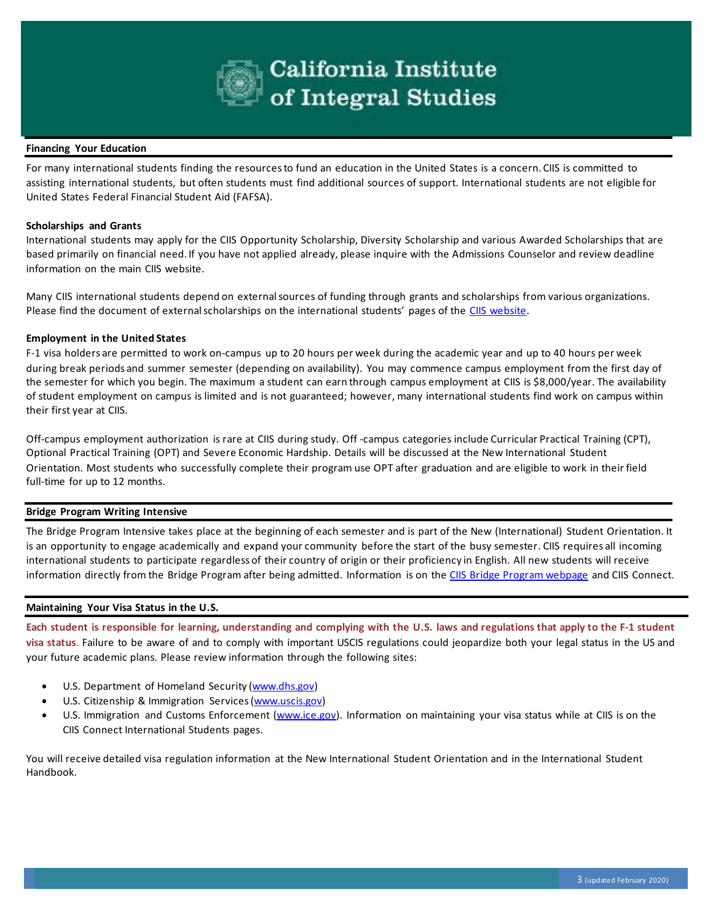

#### **Financing Your Education**

For many international students finding the resources to fund an education in the United States is a concern. CIIS is committed to assisting international students, but often students must find additional sources of support. International students are not eligible for United States Federal Financial Student Aid (FAFSA).

#### **Scholarships and Grants**

International students may apply for the CIIS Opportunity Scholarship, Diversity Scholarship and various Awarded Scholarships that are based primarily on financial need. If you have not applied already, please inquire with the Admissions Counselor and review deadline information on the main CIIS website.

Many CIIS international students depend on external sources of funding through grants and scholarships from various organizations. Please find the document of external scholarships on the international students' pages of the [CIIS website.](https://www.ciis.edu/admissions-and-financial-aid/international-students)

#### **Employment in the United States**

F-1 visa holders are permitted to work on-campus up to 20 hours per week during the academic year and up to 40 hours per week during break periods and summer semester (depending on availability). You may commence campus employment from the first day of the semester for which you begin. The maximum a student can earn through campus employment at CIIS is \$8,000/year. The availability of student employment on campus is limited and is not guaranteed; however, many international students find work on campus within their first year at CIIS.

Off-campus employment authorization is rare at CIIS during study. Off -campus categories include Curricular Practical Training (CPT), Optional Practical Training (OPT) and Severe Economic Hardship. Details will be discussed at the New International Student Orientation. Most students who successfully complete their program use OPT after graduation and are eligible to work in their field full-time for up to 12 months.

#### **Bridge Program Writing Intensive**

The Bridge Program Intensive takes place at the beginning of each semester and is part of the New (International) Student Orientation. It is an opportunity to engage academically and expand your community before the start of the busy semester. CIIS requires all incoming international students to participate regardless of their country of origin or their proficiency in English. All new students will receive information directly from the Bridge Program after being admitted. Information is on the [CIIS Bridge Program webpage](https://www.ciis.edu/student-resources/bridge-program) and CIIS Connect.

#### **Maintaining Your Visa Status in the U.S.**

**Each student is responsible for learning, understanding and complying with the U.S. laws and regulations that apply to the F-1 student visa status**. Failure to be aware of and to comply with important USCIS regulations could jeopardize both your legal status in the US and your future academic plans. Please review information through the following sites:

- U.S. Department of Homeland Security [\(www.dhs.gov\)](http://www.dhs.gov/)
- U.S. Citizenship & Immigration Services [\(www.uscis.gov\)](http://www.uscis.gov/)
- U.S. Immigration and Customs Enforcement [\(www.ice.gov\).](http://www.ice.gov/) Information on maintaining your visa status while at CIIS is on the CIIS Connect International Students pages.

You will receive detailed visa regulation information at the New International Student Orientation and in the International Student Handbook.